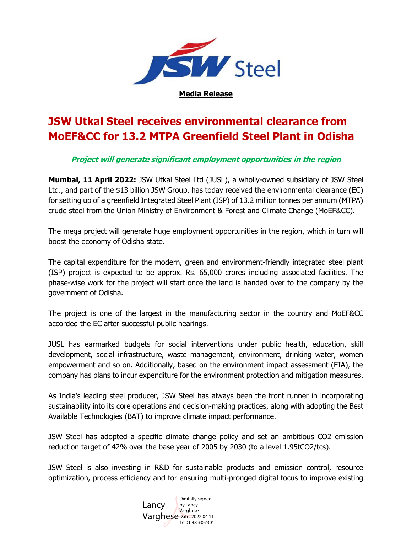

## **JSW Utkal Steel receives environmental clearance from MoEF&CC for 13.2 MTPA Greenfield Steel Plant in Odisha**

## **Project will generate significant employment opportunities in the region**

**Mumbai, 11 April 2022:** JSW Utkal Steel Ltd (JUSL), a wholly-owned subsidiary of JSW Steel Ltd., and part of the \$13 billion JSW Group, has today received the environmental clearance (EC) for setting up of a greenfield Integrated Steel Plant (ISP) of 13.2 million tonnes per annum (MTPA) crude steel from the Union Ministry of Environment & Forest and Climate Change (MoEF&CC).

The mega project will generate huge employment opportunities in the region, which in turn will boost the economy of Odisha state.

The capital expenditure for the modern, green and environment-friendly integrated steel plant (ISP) project is expected to be approx. Rs. 65,000 crores including associated facilities. The phase-wise work for the project will start once the land is handed over to the company by the government of Odisha.

The project is one of the largest in the manufacturing sector in the country and MoEF&CC accorded the EC after successful public hearings.

JUSL has earmarked budgets for social interventions under public health, education, skill development, social infrastructure, waste management, environment, drinking water, women empowerment and so on. Additionally, based on the environment impact assessment (EIA), the company has plans to incur expenditure for the environment protection and mitigation measures.

As India's leading steel producer, JSW Steel has always been the front runner in incorporating sustainability into its core operations and decision-making practices, along with adopting the Best Available Technologies (BAT) to improve climate impact performance.

JSW Steel has adopted a specific climate change policy and set an ambitious CO2 emission reduction target of 42% over the base year of 2005 by 2030 (to a level 1.95tCO2/tcs).

JSW Steel is also investing in R&D for sustainable products and emission control, resource optimization, process efficiency and for ensuring multi-pronged digital focus to improve existing